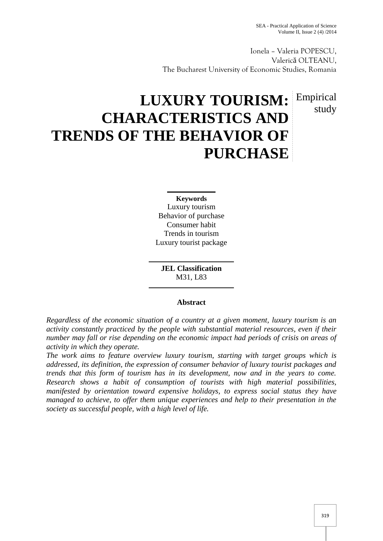Ionela – Valeria POPESCU, Valeric OLTEANU, The Bucharest University of Economic Studies, Romania

# study

## **LUXURY TOURISM:** Empirical **CHARACTERISTICS AND TRENDS OF THE BEHAVIOR OF PURCHASE**

**Keywords** Luxury tourism Behavior of purchase Consumer habit Trends in tourism Luxury tourist package

**JEL Classification** M31, L83

### **Abstract**

*Regardless of the economic situation of a country at a given moment, luxury tourism is an activity constantly practiced by the people with substantial material resources, even if their number may fall or rise depending on the economic impact had periods of crisis on areas of activity in which they operate.*

*The work aims to feature overview luxury tourism, starting with target groups which is addressed, its definition, the expression of consumer behavior of luxury tourist packages and trends that this form of tourism has in its development, now and in the years to come. Research shows a habit of consumption of tourists with high material possibilities, manifested by orientation toward expensive holidays, to express social status they have managed to achieve, to offer them unique experiences and help to their presentation in the society as successful people, with a high level of life.*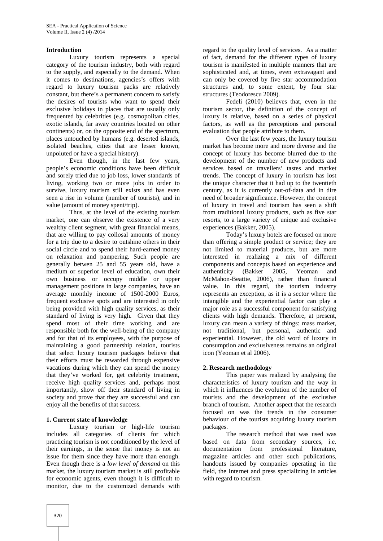### **Introduction**

Luxury tourism represents a special category of the tourism industry, both with regard to the supply, and especially to the demand. When it comes to destinations, agencies's offers with regard to luxury tourism packs are relatively constant, but there's a permanent concern to satisfy the desires of tourists who want to spend their exclusive holidays in places that are usually only frequented by celebrities (e.g. cosmopolitan cities, exotic islands, far away countries located on other continents) or, on the opposite end of the spectrum, places untouched by humans (e.g. deserted islands, isolated beaches, cities that are lesser known, unpoluted or have a special history).

Even though, in the last few years, people's economic conditions have been difficult and sorely tried due to job loss, lower standards of living, working two or more jobs in order to survive, luxury tourism still exists and has even seen a rise in volume (number of tourists), and in value (amount of money spent/trip).

Thus, at the level of the existing tourism market, one can observe the existence of a very wealthy client segment, with great financial means, that are willing to pay collosal amounts of money for a trip due to a desire to outshine others in their social circle and to spend their hard-earned money on relaxation and pampering. Such people are generally betwen 25 and 55 years old, have a medium or superior level of education, own their own business or occupy middle or upper management positions in large companies, have an average monthly income of 1500-2000 Euros, frequent exclusive spots and are interested in only being provided with high quality services, as their standard of living is very high. Given that they spend most of their time working and are responsible both for the well-being of the company and for that of its employees, with the purpose of maintaining a good partnership relation, tourists that select luxury tourism packages believe that their efforts must be rewarded through expensive vacations during which they can spend the money that they've worked for, get celebrity treatment, receive high quality services and, perhaps most importantly, show off their standard of living in society and prove that they are successful and can enjoy all the benefits of that success.

### **1. Current state of knowledge**

Luxury tourism or high-life tourism includes all categories of clients for which practicing tourism is not conditioned by the level of their earnings, in the sense that money is not an issue for them since they have more than enough. Even though there is a *low level of demand* on this market*,* the luxury tourism market is still profitable for economic agents, even though it is difficult to monitor, due to the customized demands with

regard to the quality level of services. As a matter of fact, demand for the different types of luxury tourism is manifested in multiple manners that are sophisticated and, at times, even extravagant and can only be covered by five star accommodation structures and, to some extent, by four star structures (Teodorescu 2009).

Fedeli (2010) believes that, even in the tourism sector, the definition of the concept of luxury is relative, based on a series of physical factors, as well as the perceptions and personal evaluation that people attribute to them.

Over the last few years, the luxury tourism market has become more and more diverse and the concept of luxury has become blurred due to the development of the number of new products and services based on travellers' tastes and market trends. The concept of luxury in tourism has lost the unique character that it had up to the twentieth century, as it is currently out-of-data and in dire need of broader significance. However, the concept of luxury in travel and tourism has seen a shift from traditional luxury products, such as five star resorts, to a large variety of unique and exclusive experiences (Bakker, 2005).

Today's luxury hotels are focused on more than offering a simple product or service; they are not limited to material products, but are more interested in realizing a mix of different components and concepts based on experience and authenticity (Bakker 2005, Yeoman and McMahon-Beattie, 2006), rather than financial value. In this regard, the tourism industry represents an exception, as it is a sector where the intangible and the experiential factor can play a major role as a successful component for satisfying clients with high demands. Therefore, at present, luxury can mean a variety of things: mass market, not traditional, but personal, authentic and experiential. However, the old word of luxury in consumption and exclusiveness remains an original icon (Yeoman et al 2006).

### **2. Research methodology**

This paper was realized by analysing the characteristics of luxury tourism and the way in which it influences the evolution of the number of tourists and the development of the exclusive branch of tourism. Another aspect that the research focused on was the trends in the consumer behaviour of the tourists acquiring luxury tourism packages.

The research method that was used was based on data from secondary sources, i.e. documentation from professional literature, magazine articles and other such publications, handouts issued by companies operating in the field, the Internet and press specializing in articles with regard to tourism.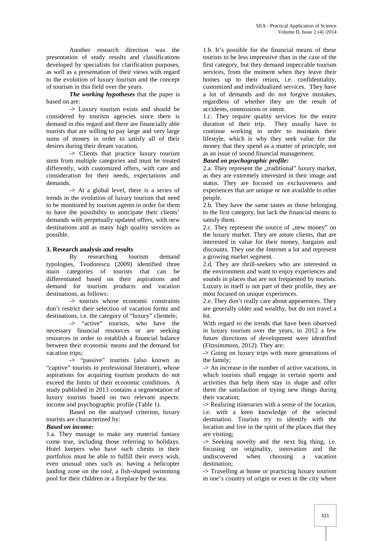Another research direction was the presentation of study results and classifications developed by specialists for clarification purposes, as well as a presentation of their views with regard to the evolution of luxury tourism and the concept of tourism in this field over the years.

*The working hypotheses* that the paper is based on are:

**->** Luxury tourism exists and should be considered by tourism agencies since there is demand in this regard and there are financially able tourists that are willing to pay large and very large sums of money in order to satisfy all of their desires during their dream vacation.

**->** Clients that practice luxury tourism stem from multiple categories and must be treated differently, with customized offers, with care and consideration for their needs, expectations and demands.

**->** At a global level, there is a series of trends in the evolution of luxury tourism that need to be monitored by tourism agents in order for them to have the possibility to anticipate their clients' demands with perpetually updated offers, with new destinations and as many high quality services as possible.

**3. Research analysis and results**<br>By researching to researching tourism demand typologies, Teodorescu (2009) identified three main categories of tourists that can be differentiated based on their aspirations and demand for tourism products and vacation destinations, as follows:

**->** tourists whose economic constraints don't restrict their selection of vacation forms and destinations, i.e. the category of "luxury" clientele;

**->** "active" tourists, who have the necessary financial resources or are seeking resources in order to establish a financial balance between their economic means and the demand for vacation trips;

**->** "passive" tourists (also known as "captive" tourists in professional literature), whose aspirations for acquiring tourism products do not exceed the limits of their economic conditions. A study published in 2013 contains a segmentation of luxury tourists based on two relevant aspects: income and psychographic profile (Table 1).

Based on the analysed criterion, luxury tourists are characterized by:

### *Based on income:*

1.a. They manage to make any material fantasy come true, including those referring to holidays. Hotel keepers who have such clients in their portfolios must be able to fulfill their every wish, even unusual ones such as: having a helicopter landing zone on the roof, a fish-shaped swimming pool for their children or a fireplace by the sea.

1.b. It's possible for the financial means of these tourists to be less impressive than in the case of the first category, but they demand impeccable tourism services, from the moment when they leave their homes up to their return, i.e. confidentiality, customized and individualized services. They have a lot of demands and do not forgive mistakes, regardless of whether they are the result of accidents, ommissions or intent.

1.c. They require quality services for the entire duration of their trip. They usually have to continue working in order to maintain their lifestyle, which is why they seek value for the money that they spend as a matter of principle, not as an issue of sound financial management.

### *Based on psychographic profile:*

2.a. They represent the ..traditional" luxury market, as they are extremely interested in their image and status. They are focused on exclusiveness and experiences that are unique or not available to other people.

2.b. They have the same tastes as those belonging to the first category, but lack the financial means to satisfy them.

2.c. They represent the source of "new money" on the luxury market. They are astute clients, that are interested in value for their money, bargains and discounts. They use the Internet a lot and represent a growing market segment.

2.d. They are thrill-seekers who are interested in the environment and want to enjoy experiences and sounds in places that are not frequented by tourists. Luxury in itself is not part of their profile, they are most focused on unique experiences.

2.e. They don't really care about appearences. They are generally older and wealthy, but do not travel a lot.

With regard to the trends that have been observed in luxury tourism over the years, in 2012 a few future directions of development were identified (Fitzsimmons, 2012). They are:

**->** Going on luxury trips with more generations of the family;

**->** An increase in the number of active vacations, in which tourists shall engage in certain sports and activities that help them stay in shape and offer them the satisfaction of trying new things during their vacation;

**->** Realizing itineraries with a sense of the location, i.e. with a keen knowledge of the selected destination. Tourists try to identify with the location and live in the spirit of the places that they are visiting;

**->** Seeking novelty and the next big thing, i.e. focusing on originality, innovation and the undiscovered when choosing a vacation destination;

**->** Travelling at home or practicing luxury tourism in one's country of origin or even in the city where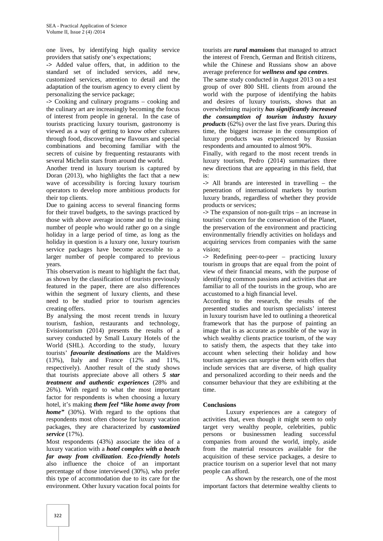one lives, by identifying high quality service providers that satisfy one's expectations;

**->** Added value offers, that, in addition to the standard set of included services, add new, customized services, attention to detail and the adaptation of the tourism agency to every client by personalizing the service package;

**->** Cooking and culinary programs – cooking and the culinary art are increasingly becoming the focus of interest from people in general. In the case of tourists practicing luxury tourism, gastronomy is viewed as a way of getting to know other cultures through food, discovering new flavours and special combinations and becoming familiar with the secrets of cuisine by frequenting restaurants with several Michelin stars from around the world.

Another trend in luxury tourism is captured by Doran (2013), who highlights the fact that a new wave of accessibility is forcing luxury tourism operators to develop more ambitious products for their top clients.

Due to gaining access to several financing forms for their travel budgets, to the savings practiced by those with above average income and to the rising number of people who would rather go on a single holiday in a large period of time, as long as the holiday in question is a luxury one, luxury tourism service packages have become accessible to a larger number of people compared to previous years.

This observation is meant to highlight the fact that, as shown by the classification of tourists previously featured in the paper, there are also differences within the segment of luxury clients, and these need to be studied prior to tourism agencies creating offers.

By analysing the most recent trends in luxury tourism, fashion, restaurants and technology, Evisionturism (2014) presents the results of a survey conducted by Small Luxury Hotels of the World (SHL). According to the study, luxury tourists' *favourite destinations* are the Maldives (13%), Italy and France (12% and 11%, respectively). Another result of the study shows that tourists appreciate above all others *5 star treatment and authentic experiences* (28% and 26%). With regard to what the most important factor for respondents is when choosing a luxury hotel, it's making *them feel "like home away from home"* (30%). With regard to the options that respondents most often choose for luxury vacation packages, they are characterized by *customized service* (17%).

Most respondents (43%) associate the idea of a luxury vacation with a *hotel complex with a beach far away from civilization*. *Eco-friendly hotels* also influence the choice of an important percentage of those interviewed (30%), who prefer this type of accommodation due to its care for the environment. Other luxury vacation focal points for

tourists are *rural mansions* that managed to attract the interest of French, German and British citizens, while the Chinese and Russians show an above average preference for *wellness and spa centres*.

The same study conducted in August 2013 on a test group of over 800 SHL clients from around the world with the purpose of identifying the habits and desires of luxury tourists, shows that an overwhelming majority *has significantly increased the consumption of tourism industry luxury products* (62%) over the last five years. During this time, the biggest increase in the consumption of luxury products was experienced by Russian respondents and amounted to almost 90%.

Finally, with regard to the most recent trends in luxury tourism, Pedro (2014) summarizes three new directions that are appearing in this field, that is:

**->** All brands are interested in travelling – the penetration of international markets by tourism luxury brands, regardless of whether they provide products or services;

**->** The expansion of non-guilt trips – an increase in tourists' concern for the conservation of the Planet, the preservation of the environment and practicing environmentally friendly activities on holidays and acquiring services from companies with the same vision;

**->** Redefining peer-to-peer – practicing luxury tourism in groups that are equal from the point of view of their financial means, with the purpose of identifying common passions and activities that are familiar to all of the tourists in the group, who are accustomed to a high financial level.

According to the research, the results of the presented studies and tourism specialists' interest in luxury tourism have led to outlining a theoretical framework that has the purpose of painting an image that is as accurate as possible of the way in which wealthy clients practice tourism, of the way to satisfy them, the aspects that they take into account when selecting their holiday and how tourism agencies can surprise them with offers that include services that are diverse, of high quality and personalized according to their needs and the consumer behaviour that they are exhibiting at the time.

### **Conclusions**

Luxury experiences are a category of activities that, even though it might seem to only target very wealthy people, celebrities, public persons or businessmen leading successful companies from around the world, imply, aside from the material resources available for the acquisition of these service packages, a desire to practice tourism on a superior level that not many people can afford.

As shown by the research, one of the most important factors that determine wealthy clients to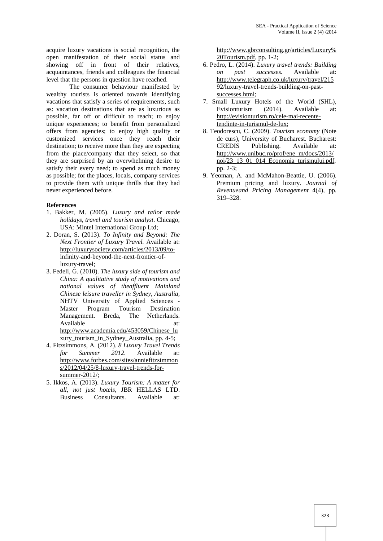acquire luxury vacations is social recognition, the open manifestation of their social status and showing off in front of their relatives, acquaintances, friends and colleagues the financial level that the persons in question have reached.

The consumer behaviour manifested by wealthy tourists is oriented towards identifying vacations that satisfy a series of requirements, such as: vacation destinations that are as luxurious as possible, far off or difficult to reach; to enjoy unique experiences; to benefit from personalized offers from agencies; to enjoy high quality or customized services once they reach their destination; to receive more than they are expecting from the place/company that they select, so that they are surprised by an overwhelming desire to satisfy their every need; to spend as much money as possible; for the places, locals, company services to provide them with unique thrills that they had never experienced before.

### **References**

- 1. Bakker, M. (2005). *Luxury and tailor made holidays, travel and tourism analyst*. Chicago, USA: Mintel International Group Ltd;
- 2. Doran, S. (2013). *To Infinity and Beyond: The Next Frontier of Luxury Travel.* Available at: http://luxurysociety.com/articles/2013/09/toinfinity-and-beyond-the-next-frontier-ofluxury-travel;
- 3. Fedeli, G. (2010). *The luxury side of tourism and China: A qualitative study of motivations and national values of theaffluent Mainland Chinese leisure traveller in Sydney, Australia,* NHTV University of Applied Sciences - Master Program Tourism Destination Management. Breda, The Netherlands. Available at: at: http://www.academia.edu/453059/Chinese\_lu xury\_tourism\_in\_Sydney\_Australia, pp. 4-5;
- 4. Fitzsimmons, A. (2012). *8 Luxury Travel Trends for Summer 2012.* Available at: http://www.forbes.com/sites/anniefitzsimmon s/2012/04/25/8-luxury-travel-trends-for summer-2012/;
- 5. Ikkos, A. (2013). *Luxury Tourism: A matter for all, not just hotels,* JBR HELLAS LTD. Business Consultants. Available at:

http://www.gbrconsulting.gr/articles/Luxury% 20Tourism.pdf, pp. 1-2;

- 6. Pedro, L. (2014). *Luxury travel trends: Building on past successes.* Available at: http://www.telegraph.co.uk/luxury/travel/215 92/luxury-travel-trends-building-on-past successes.html;
- 7. Small Luxury Hotels of the World (SHL), Evisionturism (2014). Available at: http://evisionturism.ro/cele-mai-recentetendinte-in-turismul-de-lux;
- 8. Teodorescu, C. (2009). *Tourism economy* (Note de curs), University of Bucharest. Bucharest: CREDIS Publishing. Available at: http://www.unibuc.ro/prof/ene\_m/docs/2013/ noi/23\_13\_01\_014\_Economia\_turismului.pdf, pp. 2-3;
- 9. Yeoman, A. and McMahon-Beattie, U. (2006). Premium pricing and luxury. *Journal of Revenueand Pricing Management* 4(4), pp. 319–328.